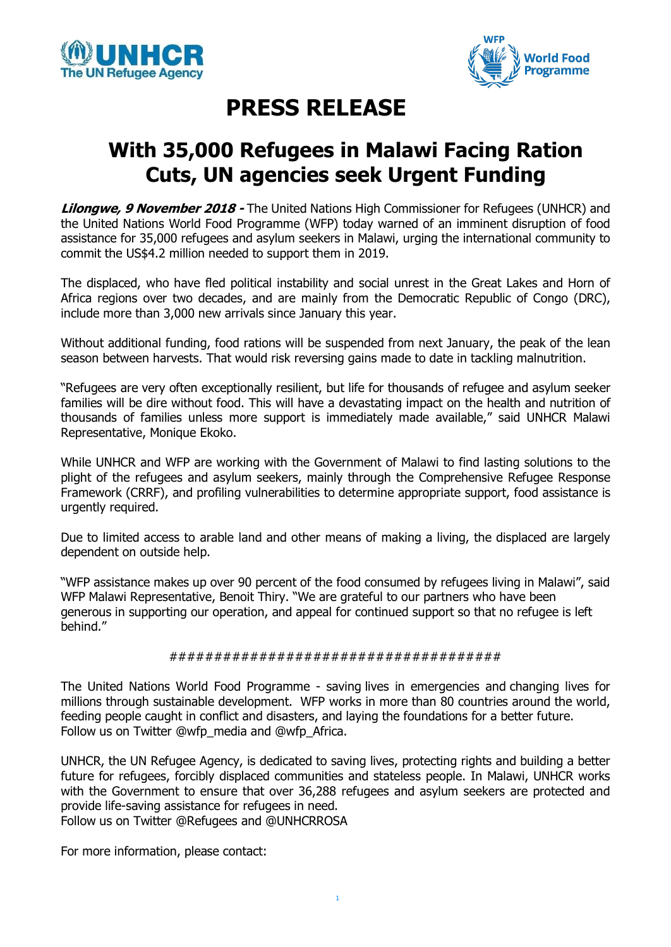



## **PRESS RELEASE**

## **With 35,000 Refugees in Malawi Facing Ration Cuts, UN agencies seek Urgent Funding**

**Lilongwe, 9 November 2018 -** The United Nations High Commissioner for Refugees (UNHCR) and the United Nations World Food Programme (WFP) today warned of an imminent disruption of food assistance for 35,000 refugees and asylum seekers in Malawi, urging the international community to commit the US\$4.2 million needed to support them in 2019.

The displaced, who have fled political instability and social unrest in the Great Lakes and Horn of Africa regions over two decades, and are mainly from the Democratic Republic of Congo (DRC), include more than 3,000 new arrivals since January this year.

Without additional funding, food rations will be suspended from next January, the peak of the lean season between harvests. That would risk reversing gains made to date in tackling malnutrition.

"Refugees are very often exceptionally resilient, but life for thousands of refugee and asylum seeker families will be dire without food. This will have a devastating impact on the health and nutrition of thousands of families unless more support is immediately made available," said UNHCR Malawi Representative, Monique Ekoko.

While UNHCR and WFP are working with the Government of Malawi to find lasting solutions to the plight of the refugees and asylum seekers, mainly through the Comprehensive Refugee Response Framework (CRRF), and profiling vulnerabilities to determine appropriate support, food assistance is urgently required.

Due to limited access to arable land and other means of making a living, the displaced are largely dependent on outside help.

"WFP assistance makes up over 90 percent of the food consumed by refugees living in Malawi", said WFP Malawi Representative, Benoit Thiry. "We are grateful to our partners who have been generous in supporting our operation, and appeal for continued support so that no refugee is left behind."

## #####################################

The United Nations World Food Programme - saving lives in emergencies and changing lives for millions through sustainable development. WFP works in more than 80 countries around the world, feeding people caught in conflict and disasters, and laying the foundations for a better future. Follow us on Twitter @wfp\_media and @wfp\_Africa.

UNHCR, the UN Refugee Agency, is dedicated to saving lives, protecting rights and building a better future for refugees, forcibly displaced communities and stateless people. In Malawi, UNHCR works with the Government to ensure that over 36,288 refugees and asylum seekers are protected and provide life-saving assistance for refugees in need.

Follow us on Twitter @Refugees and @UNHCRROSA

For more information, please contact: